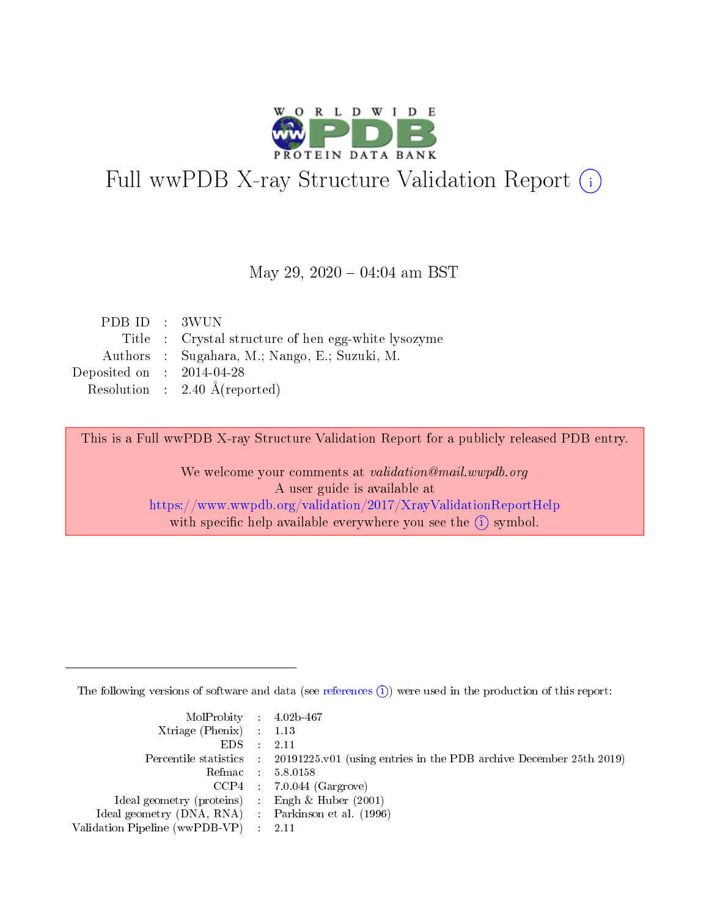

# Full wwPDB X-ray Structure Validation Report (i)

#### May 29,  $2020 - 04:04$  am BST

| PDB ID : 3WUN               |                                                    |
|-----------------------------|----------------------------------------------------|
|                             | Title: Crystal structure of hen egg-white lysozyme |
|                             | Authors : Sugahara, M.; Nango, E.; Suzuki, M.      |
| Deposited on : $2014-04-28$ |                                                    |
|                             | Resolution : $2.40 \text{ Å}$ (reported)           |

This is a Full wwPDB X-ray Structure Validation Report for a publicly released PDB entry.

We welcome your comments at validation@mail.wwpdb.org A user guide is available at <https://www.wwpdb.org/validation/2017/XrayValidationReportHelp> with specific help available everywhere you see the  $(i)$  symbol.

The following versions of software and data (see [references](https://www.wwpdb.org/validation/2017/XrayValidationReportHelp#references)  $(i)$ ) were used in the production of this report:

| $MolProbability$ 4.02b-467<br>Xtriage (Phenix) $: 1.13$ |                                                                                                     |
|---------------------------------------------------------|-----------------------------------------------------------------------------------------------------|
| $EDS$ :                                                 | -2.11<br>Percentile statistics : 20191225.v01 (using entries in the PDB archive December 25th 2019) |
|                                                         | Refmac : 5.8.0158                                                                                   |
|                                                         | $CCP4$ : 7.0.044 (Gargrove)                                                                         |
| Ideal geometry (proteins) : Engh $\&$ Huber (2001)      |                                                                                                     |
| Ideal geometry (DNA, RNA) : Parkinson et al. (1996)     |                                                                                                     |
| Validation Pipeline (wwPDB-VP) :                        | -2.11                                                                                               |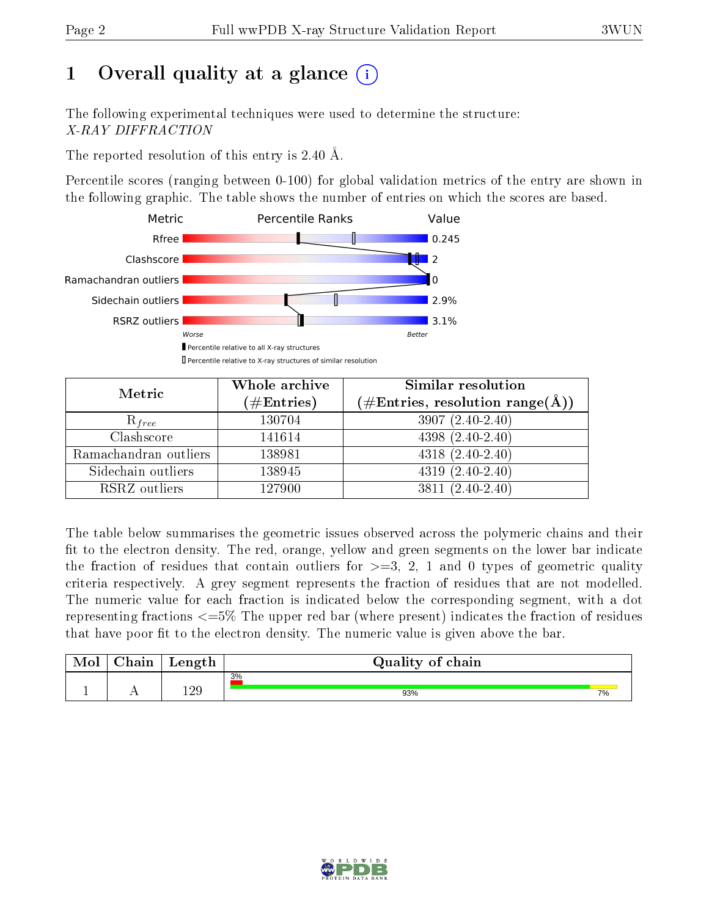# 1 [O](https://www.wwpdb.org/validation/2017/XrayValidationReportHelp#overall_quality)verall quality at a glance  $(i)$

The following experimental techniques were used to determine the structure: X-RAY DIFFRACTION

The reported resolution of this entry is 2.40 Å.

Percentile scores (ranging between 0-100) for global validation metrics of the entry are shown in the following graphic. The table shows the number of entries on which the scores are based.



| Metric                | Whole archive<br>$(\#\text{Entries})$ | Similar resolution<br>$(\#\text{Entries},\, \text{resolution}\; \text{range}(\textup{\AA}))$ |
|-----------------------|---------------------------------------|----------------------------------------------------------------------------------------------|
| $R_{free}$            | 130704                                | $3907(2.40-2.40)$                                                                            |
| Clashscore            | 141614                                | $4398(2.40-2.40)$                                                                            |
| Ramachandran outliers | 138981                                | $4318(2.40-2.40)$                                                                            |
| Sidechain outliers    | 138945                                | $4319(2.40-2.40)$                                                                            |
| RSRZ outliers         | 127900                                | $3811 (2.40 - 2.40)$                                                                         |

The table below summarises the geometric issues observed across the polymeric chains and their fit to the electron density. The red, orange, yellow and green segments on the lower bar indicate the fraction of residues that contain outliers for  $>=3, 2, 1$  and 0 types of geometric quality criteria respectively. A grey segment represents the fraction of residues that are not modelled. The numeric value for each fraction is indicated below the corresponding segment, with a dot representing fractions  $\epsilon=5\%$  The upper red bar (where present) indicates the fraction of residues that have poor fit to the electron density. The numeric value is given above the bar.

| Mol | $\sim$ $\sim$<br>hain | Length | Quality of chain |    |
|-----|-----------------------|--------|------------------|----|
|     |                       | 190    | 3%               |    |
| л.  | . .                   | ⊥∠ບ    | 93%              | 7% |

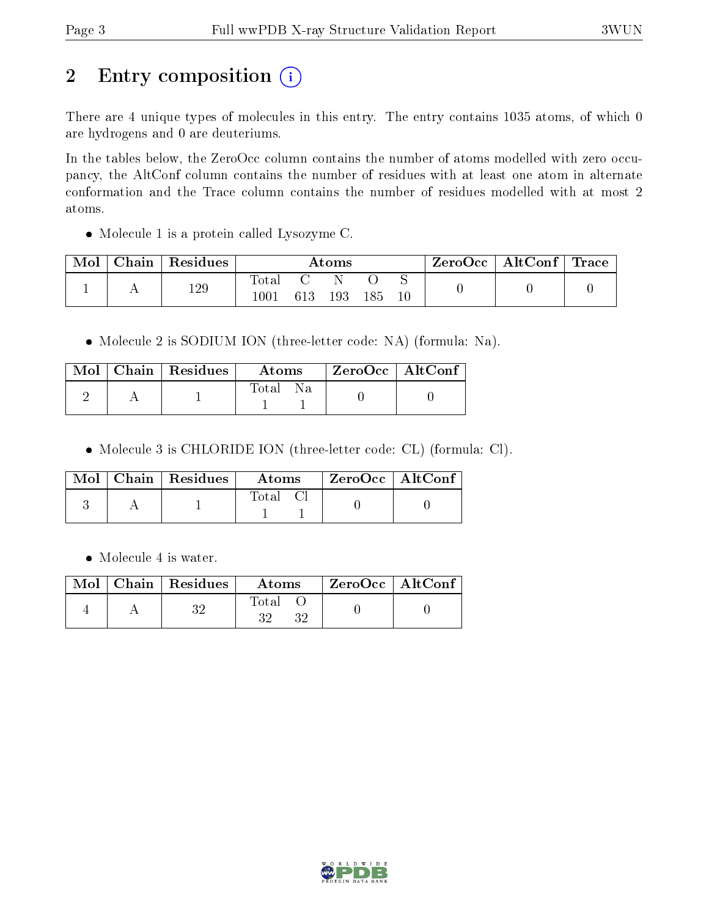# 2 Entry composition (i)

There are 4 unique types of molecules in this entry. The entry contains 1035 atoms, of which 0 are hydrogens and 0 are deuteriums.

In the tables below, the ZeroOcc column contains the number of atoms modelled with zero occupancy, the AltConf column contains the number of residues with at least one atom in alternate conformation and the Trace column contains the number of residues modelled with at most 2 atoms.

• Molecule 1 is a protein called Lysozyme C.

| Mol | Chain | Residues | $\rm{Atoms}$ |     |     | ZeroOcc | $\mid$ AltConf $\mid$ Trace |  |  |
|-----|-------|----------|--------------|-----|-----|---------|-----------------------------|--|--|
|     | 129   | Total    |              |     |     |         |                             |  |  |
|     |       | $1001\,$ | 613          | 193 | 185 |         |                             |  |  |

• Molecule 2 is SODIUM ION (three-letter code: NA) (formula: Na).

|  | $Mol$   Chain   Residues | <b>Atoms</b>  | $\mid$ ZeroOcc $\mid$ AltConf |  |
|--|--------------------------|---------------|-------------------------------|--|
|  |                          | Total<br>- Na |                               |  |

Molecule 3 is CHLORIDE ION (three-letter code: CL) (formula: Cl).

|  | $\text{Mol}$   Chain   Residues | Atoms | ZeroOcc   AltConf |
|--|---------------------------------|-------|-------------------|
|  |                                 | Total |                   |

• Molecule 4 is water.

|  | $\text{Mol}$   Chain   Residues | Atoms       | ZeroOcc   AltConf |
|--|---------------------------------|-------------|-------------------|
|  |                                 | Total<br>96 |                   |

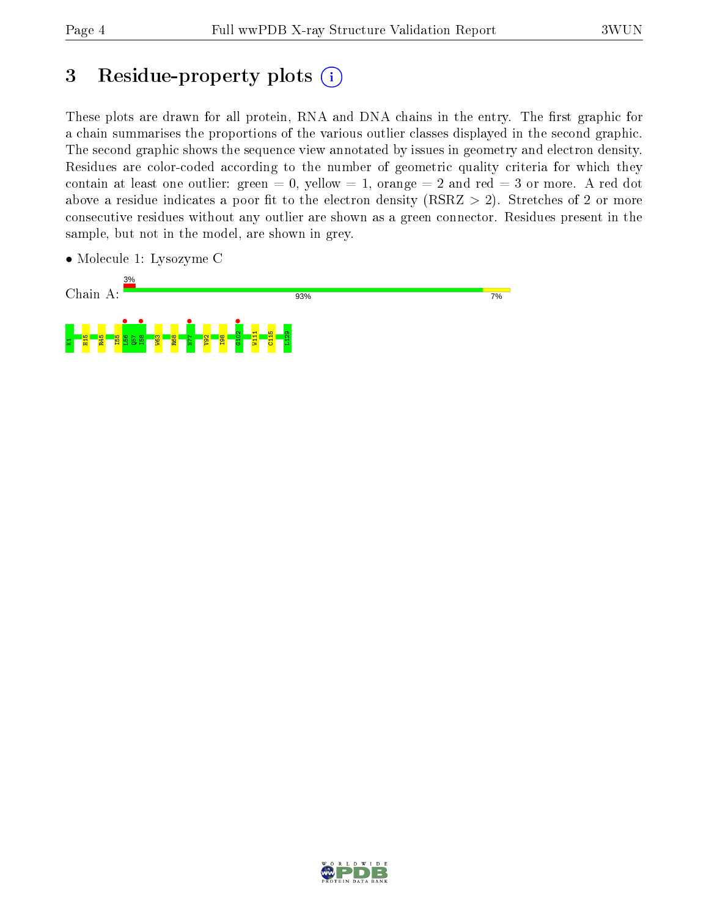## 3 Residue-property plots  $(i)$

These plots are drawn for all protein, RNA and DNA chains in the entry. The first graphic for a chain summarises the proportions of the various outlier classes displayed in the second graphic. The second graphic shows the sequence view annotated by issues in geometry and electron density. Residues are color-coded according to the number of geometric quality criteria for which they contain at least one outlier: green  $= 0$ , yellow  $= 1$ , orange  $= 2$  and red  $= 3$  or more. A red dot above a residue indicates a poor fit to the electron density (RSRZ  $> 2$ ). Stretches of 2 or more consecutive residues without any outlier are shown as a green connector. Residues present in the sample, but not in the model, are shown in grey.

• Molecule 1: Lysozyme C



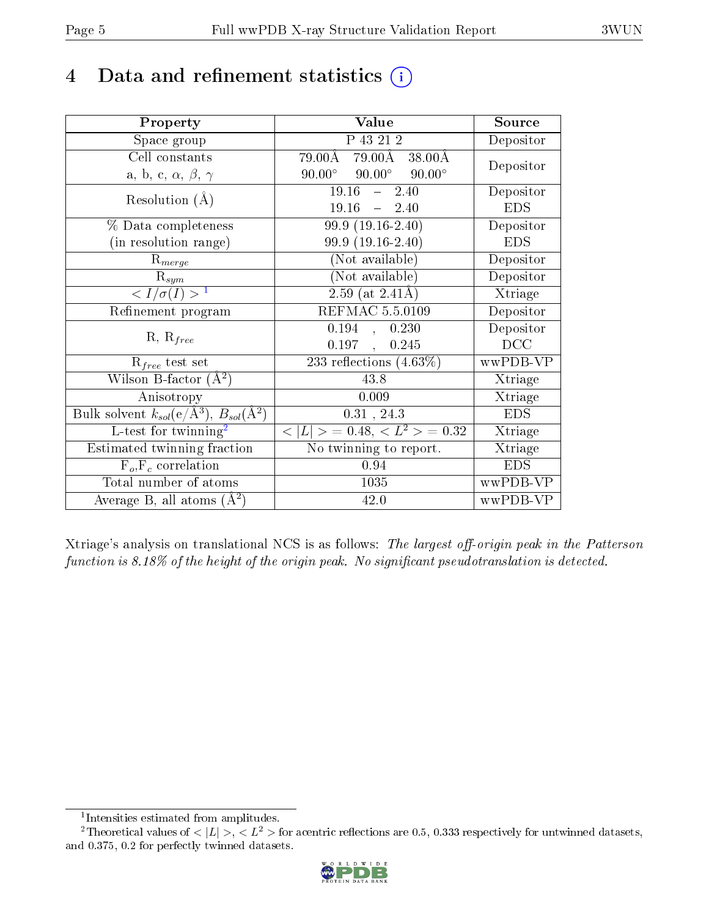## 4 Data and refinement statistics  $(i)$

| Property                                                         | Value                                             | Source                       |
|------------------------------------------------------------------|---------------------------------------------------|------------------------------|
| Space group                                                      | P 43 21 2                                         | Depositor                    |
| Cell constants                                                   | $79.00\AA$ $79.00\AA$ $38.00\AA$                  | Depositor                    |
| a, b, c, $\alpha$ , $\beta$ , $\gamma$                           | $90.00^\circ$<br>$90.00^\circ$<br>$90.00^{\circ}$ |                              |
| Resolution $(A)$                                                 | 19.16<br>$-2.40$                                  | Depositor                    |
|                                                                  | 19.16<br>$-2.40$                                  | <b>EDS</b>                   |
| % Data completeness                                              | 99.9 (19.16-2.40)                                 | Depositor                    |
| (in resolution range)                                            | 99.9 (19.16-2.40)                                 | <b>EDS</b>                   |
| $R_{merge}$                                                      | (Not available)                                   | Depositor                    |
| $\mathrm{R}_{sym}$                                               | $(No\bar{t}$ available)                           | Depositor                    |
| $\langle I/\sigma(I) \rangle$ <sup>1</sup>                       | $2.59$ (at $2.41\text{\AA}$ )                     | Xtriage                      |
| Refinement program                                               | <b>REFMAC 5.5.0109</b>                            | Depositor                    |
|                                                                  | 0.194<br>0.230<br>$\langle \cdot, \cdot \rangle$  | Depositor                    |
| $R, R_{free}$                                                    | $0.197$ ,<br>0.245                                | DCC                          |
| $R_{free}$ test set                                              | 233 reflections $(4.63\%)$                        | wwPDB-VP                     |
| Wilson B-factor $(A^2)$                                          | 43.8                                              | Xtriage                      |
| Anisotropy                                                       | 0.009                                             | Xtriage                      |
| Bulk solvent $k_{sol}(\text{e}/\text{A}^3), B_{sol}(\text{A}^2)$ | $0.31$ , $24.3$                                   | <b>EDS</b>                   |
| L-test for twinning <sup>2</sup>                                 | $< L >$ = 0.48, $< L2$ = 0.32                     | Xtriage                      |
| Estimated twinning fraction                                      | No twinning to report.                            | $\overline{\text{X}}$ triage |
| $\overline{F_o}, \overline{F_c}$ correlation                     | 0.94                                              | <b>EDS</b>                   |
| Total number of atoms                                            | 1035                                              | wwPDB-VP                     |
| Average B, all atoms $(A^2)$                                     | 42.0                                              | wwPDB-VP                     |

Xtriage's analysis on translational NCS is as follows: The largest off-origin peak in the Patterson function is  $8.18\%$  of the height of the origin peak. No significant pseudotranslation is detected.

<sup>&</sup>lt;sup>2</sup>Theoretical values of  $\langle |L| \rangle$ ,  $\langle L^2 \rangle$  for acentric reflections are 0.5, 0.333 respectively for untwinned datasets, and 0.375, 0.2 for perfectly twinned datasets.



<span id="page-4-1"></span><span id="page-4-0"></span><sup>1</sup> Intensities estimated from amplitudes.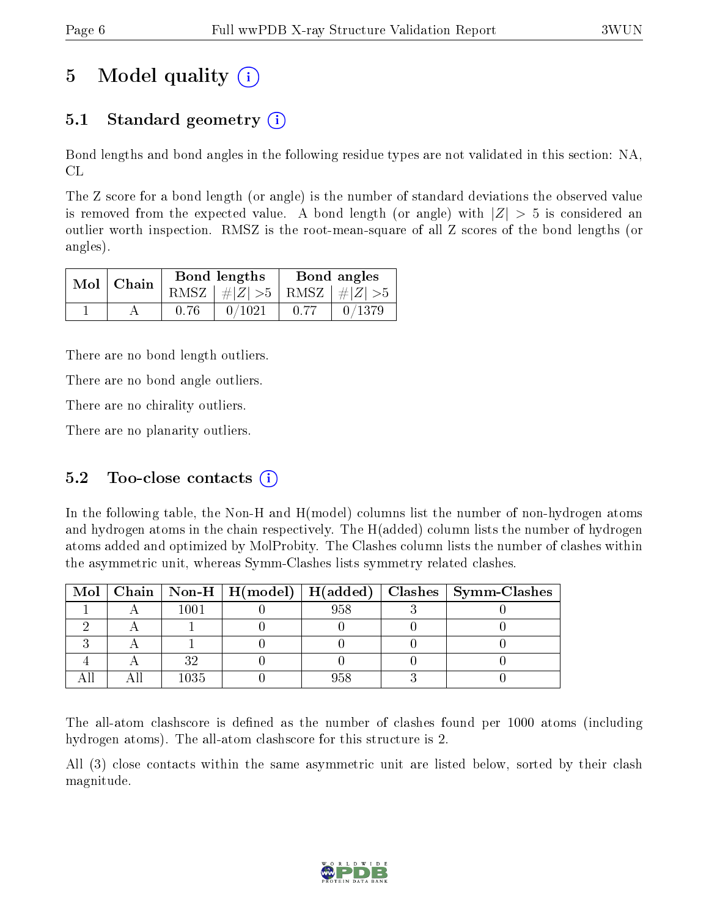# 5 Model quality  $(i)$

### 5.1 Standard geometry  $\overline{()}$

Bond lengths and bond angles in the following residue types are not validated in this section: NA, CL

The Z score for a bond length (or angle) is the number of standard deviations the observed value is removed from the expected value. A bond length (or angle) with  $|Z| > 5$  is considered an outlier worth inspection. RMSZ is the root-mean-square of all Z scores of the bond lengths (or angles).

| $Mol$   Chain |      | Bond lengths                    | Bond angles |        |
|---------------|------|---------------------------------|-------------|--------|
|               |      | RMSZ $ #Z  > 5$ RMSZ $ #Z  > 5$ |             |        |
|               | 0.76 | 0/1021                          | 0.77        | 0/1379 |

There are no bond length outliers.

There are no bond angle outliers.

There are no chirality outliers.

There are no planarity outliers.

### 5.2 Too-close contacts  $(i)$

In the following table, the Non-H and H(model) columns list the number of non-hydrogen atoms and hydrogen atoms in the chain respectively. The H(added) column lists the number of hydrogen atoms added and optimized by MolProbity. The Clashes column lists the number of clashes within the asymmetric unit, whereas Symm-Clashes lists symmetry related clashes.

|  |      |     | Mol   Chain   Non-H   H(model)   H(added)   Clashes   Symm-Clashes |
|--|------|-----|--------------------------------------------------------------------|
|  | 1001 | 958 |                                                                    |
|  |      |     |                                                                    |
|  |      |     |                                                                    |
|  | າດ   |     |                                                                    |
|  | 1035 | 958 |                                                                    |

The all-atom clashscore is defined as the number of clashes found per 1000 atoms (including hydrogen atoms). The all-atom clashscore for this structure is 2.

All (3) close contacts within the same asymmetric unit are listed below, sorted by their clash magnitude.

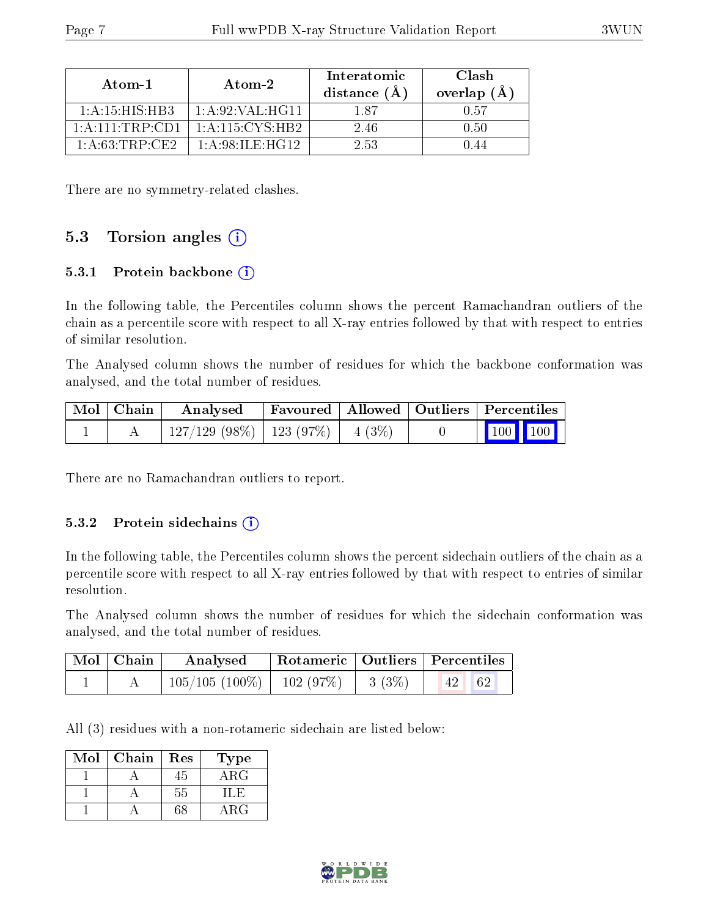| Atom-1                                                  | Atom-2                                                | Interatomic<br>distance $(A)$ | Clash<br>overlap (Å |
|---------------------------------------------------------|-------------------------------------------------------|-------------------------------|---------------------|
| 1: A:15: HIS: HB3                                       | 1: A:92: VAL:HG11                                     | 187                           | 0.57                |
| $1 \cdot A \cdot 111 \cdot \text{TRP} \cdot \text{CD1}$ | 1: A:115: CYS:HB2                                     | 246                           | 0.50                |
| 1: A:63:TRP:CE2                                         | $1 \cdot A \cdot 98 \cdot H \cdot H \cdot H \cdot 12$ | 2.53                          |                     |

There are no symmetry-related clashes.

### 5.3 Torsion angles  $(i)$

#### 5.3.1 Protein backbone  $(i)$

In the following table, the Percentiles column shows the percent Ramachandran outliers of the chain as a percentile score with respect to all X-ray entries followed by that with respect to entries of similar resolution.

The Analysed column shows the number of residues for which the backbone conformation was analysed, and the total number of residues.

| Mol   Chain | Analysed                                |  | Favoured   Allowed   Outliers   Percentiles                  |  |
|-------------|-----------------------------------------|--|--------------------------------------------------------------|--|
|             | $127/129$ (98\%)   123 (97\%)   4 (3\%) |  | $\begin{array}{ c c c c c }\n\hline\n100 & 100\n\end{array}$ |  |

There are no Ramachandran outliers to report.

#### 5.3.2 Protein sidechains  $(i)$

In the following table, the Percentiles column shows the percent sidechain outliers of the chain as a percentile score with respect to all X-ray entries followed by that with respect to entries of similar resolution.

The Analysed column shows the number of residues for which the sidechain conformation was analysed, and the total number of residues.

| Mol   Chain | Analysed                      |       | Rotameric   Outliers   Percentiles |  |
|-------------|-------------------------------|-------|------------------------------------|--|
|             | $105/105(100\%)$   102 (97\%) | 3(3%) | 62                                 |  |

All (3) residues with a non-rotameric sidechain are listed below:

| Mol | Chain | Res | Type       |
|-----|-------|-----|------------|
|     |       | 45  | $\rm{ARG}$ |
|     |       | 55  | ' I . H    |
|     |       | 38  | ВG         |

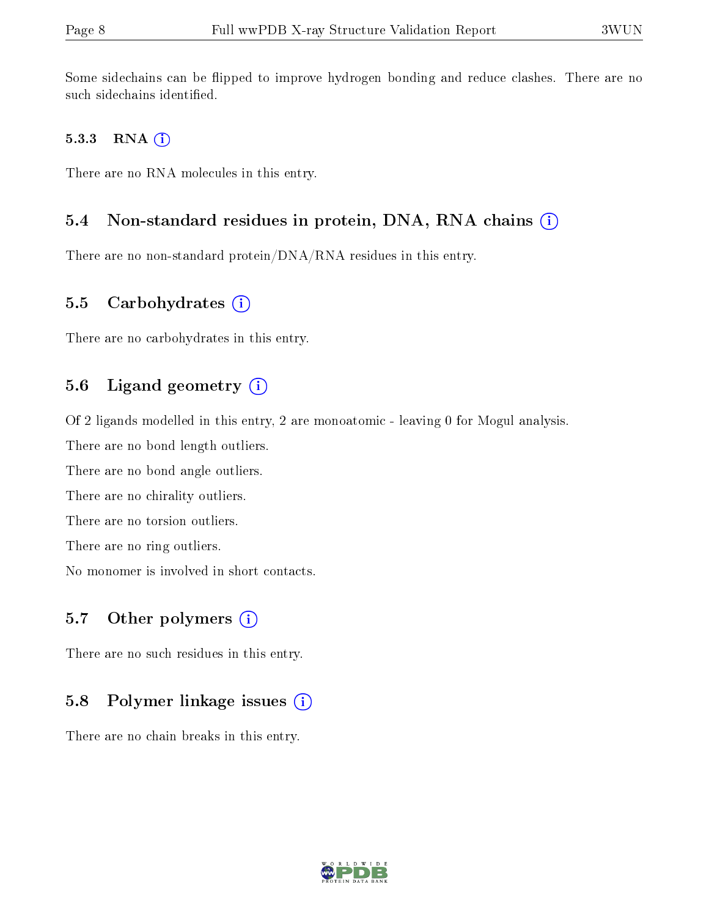Some sidechains can be flipped to improve hydrogen bonding and reduce clashes. There are no such sidechains identified.

#### 5.3.3 RNA (i)

There are no RNA molecules in this entry.

#### 5.4 Non-standard residues in protein, DNA, RNA chains (i)

There are no non-standard protein/DNA/RNA residues in this entry.

#### 5.5 Carbohydrates  $(i)$

There are no carbohydrates in this entry.

#### 5.6 Ligand geometry  $(i)$

Of 2 ligands modelled in this entry, 2 are monoatomic - leaving 0 for Mogul analysis.

There are no bond length outliers.

There are no bond angle outliers.

There are no chirality outliers.

There are no torsion outliers.

There are no ring outliers.

No monomer is involved in short contacts.

### 5.7 [O](https://www.wwpdb.org/validation/2017/XrayValidationReportHelp#nonstandard_residues_and_ligands)ther polymers  $(i)$

There are no such residues in this entry.

#### 5.8 Polymer linkage issues  $(i)$

There are no chain breaks in this entry.

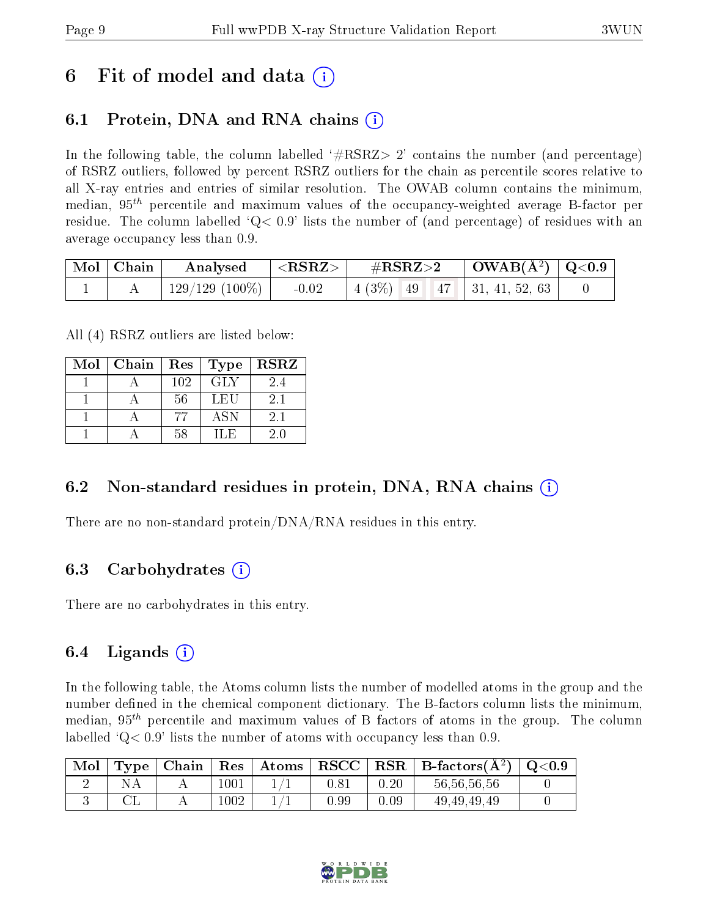## 6 Fit of model and data  $\left( \cdot \right)$

### 6.1 Protein, DNA and RNA chains (i)

In the following table, the column labelled  $#RSRZ>2'$  contains the number (and percentage) of RSRZ outliers, followed by percent RSRZ outliers for the chain as percentile scores relative to all X-ray entries and entries of similar resolution. The OWAB column contains the minimum, median,  $95<sup>th</sup>$  percentile and maximum values of the occupancy-weighted average B-factor per residue. The column labelled  $Q < 0.9$  lists the number of (and percentage) of residues with an average occupancy less than 0.9.

| $\mid$ Mol $\mid$ Chain | Analysed       | $\langle \mathrm{RSRZ} \rangle$ , | $\#RSRZ\!\!>\!2$                    | $\vert$ OWAB(Å <sup>2</sup> ) $\vert$ Q<0.9 |  |
|-------------------------|----------------|-----------------------------------|-------------------------------------|---------------------------------------------|--|
|                         | 129/129 (100%) | $-0.02$                           | $\mid$ 4 (3\%) 49 47 31, 41, 52, 63 |                                             |  |

All (4) RSRZ outliers are listed below:

| Mol | $\mid$ Chain $\mid$ Res |     | Type       | <b>RSRZ</b> |
|-----|-------------------------|-----|------------|-------------|
|     |                         | 102 | <b>GLY</b> | 2.4         |
|     |                         | 56  | LEU        | 2.1         |
|     |                         | 77  | <b>ASN</b> | 2.1         |
|     |                         | .58 | IL E       | 20          |

### 6.2 Non-standard residues in protein, DNA, RNA chains  $(i)$

There are no non-standard protein/DNA/RNA residues in this entry.

### 6.3 Carbohydrates (i)

There are no carbohydrates in this entry.

### 6.4 Ligands  $(i)$

In the following table, the Atoms column lists the number of modelled atoms in the group and the number defined in the chemical component dictionary. The B-factors column lists the minimum, median,  $95<sup>th</sup>$  percentile and maximum values of B factors of atoms in the group. The column labelled  $Q< 0.9$  lists the number of atoms with occupancy less than 0.9.

| Mol |  |          | $\mid$ Type $\mid$ Chain $\mid$ Res $\mid$ Atoms |          |          | $\ $ RSCC $\ $ RSR $\ $ B-factors( $\AA^2$ ) $\ $ Q<0.9 |  |
|-----|--|----------|--------------------------------------------------|----------|----------|---------------------------------------------------------|--|
|     |  | $1001\,$ |                                                  | $0.81\,$ | $0.20\,$ | 56, 56, 56, 56                                          |  |
|     |  | 1002     |                                                  | J.99     | 0.09     | 49, 49, 49, 49                                          |  |